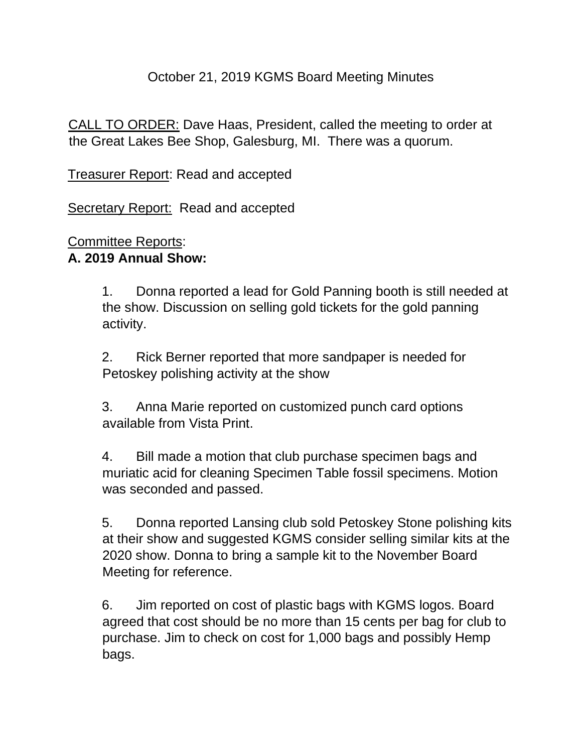#### October 21, 2019 KGMS Board Meeting Minutes

CALL TO ORDER: Dave Haas, President, called the meeting to order at the Great Lakes Bee Shop, Galesburg, MI. There was a quorum.

Treasurer Report: Read and accepted

Secretary Report: Read and accepted

#### Committee Reports: **A. 2019 Annual Show:**

1. Donna reported a lead for Gold Panning booth is still needed at the show. Discussion on selling gold tickets for the gold panning activity.

2. Rick Berner reported that more sandpaper is needed for Petoskey polishing activity at the show

3. Anna Marie reported on customized punch card options available from Vista Print.

4. Bill made a motion that club purchase specimen bags and muriatic acid for cleaning Specimen Table fossil specimens. Motion was seconded and passed.

5. Donna reported Lansing club sold Petoskey Stone polishing kits at their show and suggested KGMS consider selling similar kits at the 2020 show. Donna to bring a sample kit to the November Board Meeting for reference.

6. Jim reported on cost of plastic bags with KGMS logos. Board agreed that cost should be no more than 15 cents per bag for club to purchase. Jim to check on cost for 1,000 bags and possibly Hemp bags.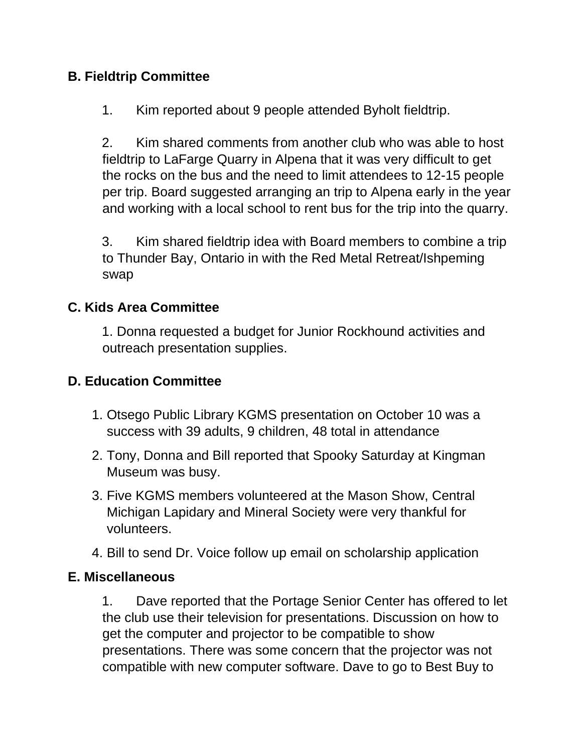## **B. Fieldtrip Committee**

1. Kim reported about 9 people attended Byholt fieldtrip.

2. Kim shared comments from another club who was able to host fieldtrip to LaFarge Quarry in Alpena that it was very difficult to get the rocks on the bus and the need to limit attendees to 12-15 people per trip. Board suggested arranging an trip to Alpena early in the year and working with a local school to rent bus for the trip into the quarry.

3. Kim shared fieldtrip idea with Board members to combine a trip to Thunder Bay, Ontario in with the Red Metal Retreat/Ishpeming swap

#### **C. Kids Area Committee**

1. Donna requested a budget for Junior Rockhound activities and outreach presentation supplies.

## **D. Education Committee**

- 1. Otsego Public Library KGMS presentation on October 10 was a success with 39 adults, 9 children, 48 total in attendance
- 2. Tony, Donna and Bill reported that Spooky Saturday at Kingman Museum was busy.
- 3. Five KGMS members volunteered at the Mason Show, Central Michigan Lapidary and Mineral Society were very thankful for volunteers.
- 4. Bill to send Dr. Voice follow up email on scholarship application

#### **E. Miscellaneous**

1. Dave reported that the Portage Senior Center has offered to let the club use their television for presentations. Discussion on how to get the computer and projector to be compatible to show presentations. There was some concern that the projector was not compatible with new computer software. Dave to go to Best Buy to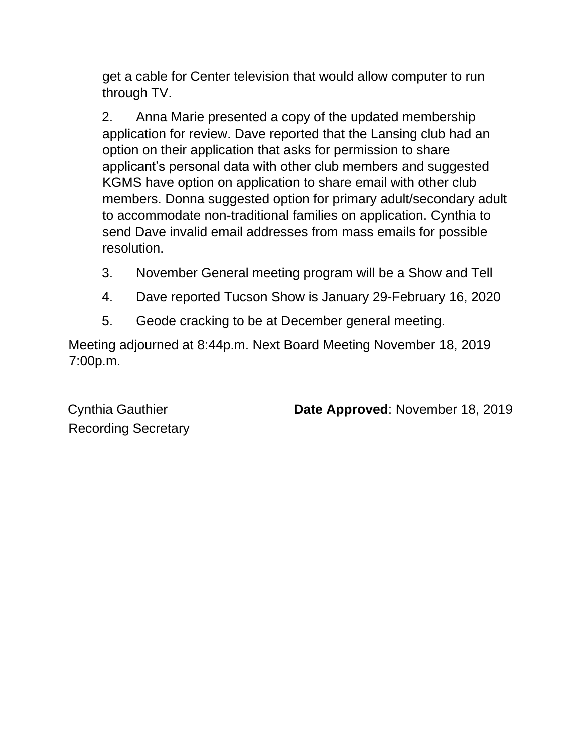get a cable for Center television that would allow computer to run through TV.

2. Anna Marie presented a copy of the updated membership application for review. Dave reported that the Lansing club had an option on their application that asks for permission to share applicant's personal data with other club members and suggested KGMS have option on application to share email with other club members. Donna suggested option for primary adult/secondary adult to accommodate non-traditional families on application. Cynthia to send Dave invalid email addresses from mass emails for possible resolution.

- 3. November General meeting program will be a Show and Tell
- 4. Dave reported Tucson Show is January 29-February 16, 2020
- 5. Geode cracking to be at December general meeting.

Meeting adjourned at 8:44p.m. Next Board Meeting November 18, 2019 7:00p.m.

Recording Secretary

Cynthia Gauthier **Date Approved**: November 18, 2019